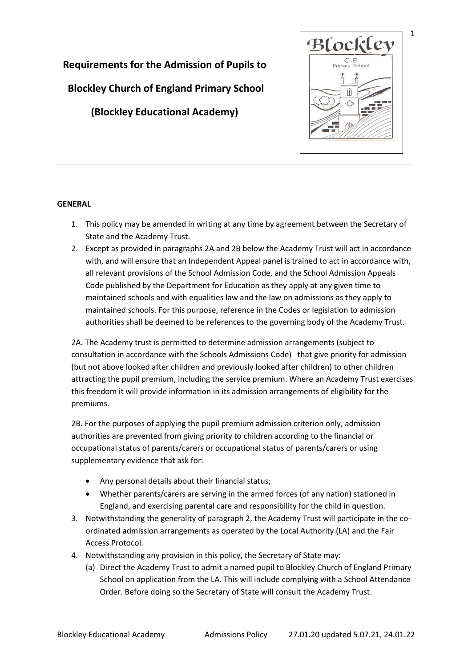

# **Requirements for the Admission of Pupils to**

**Blockley Church of England Primary School**

**(Blockley Educational Academy)**

# **GENERAL**

- 1. This policy may be amended in writing at any time by agreement between the Secretary of State and the Academy Trust.
- 2. Except as provided in paragraphs 2A and 2B below the Academy Trust will act in accordance with, and will ensure that an Independent Appeal panel is trained to act in accordance with, all relevant provisions of the School Admission Code, and the School Admission Appeals Code published by the Department for Education as they apply at any given time to maintained schools and with equalities law and the law on admissions as they apply to maintained schools. For this purpose, reference in the Codes or legislation to admission authorities shall be deemed to be references to the governing body of the Academy Trust.

2A. The Academy trust is permitted to determine admission arrangements (subject to consultation in accordance with the Schools Admissions Code) that give priority for admission (but not above looked after children and previously looked after children) to other children attracting the pupil premium, including the service premium. Where an Academy Trust exercises this freedom it will provide information in its admission arrangements of eligibility for the premiums.

2B. For the purposes of applying the pupil premium admission criterion only, admission authorities are prevented from giving priority to children according to the financial or occupational status of parents/carers or occupational status of parents/carers or using supplementary evidence that ask for:

- Any personal details about their financial status;
- Whether parents/carers are serving in the armed forces (of any nation) stationed in England, and exercising parental care and responsibility for the child in question.
- 3. Notwithstanding the generality of paragraph 2, the Academy Trust will participate in the coordinated admission arrangements as operated by the Local Authority (LA) and the Fair Access Protocol.
- 4. Notwithstanding any provision in this policy, the Secretary of State may:
	- (a) Direct the Academy Trust to admit a named pupil to Blockley Church of England Primary School on application from the LA. This will include complying with a School Attendance Order. Before doing so the Secretary of State will consult the Academy Trust.

1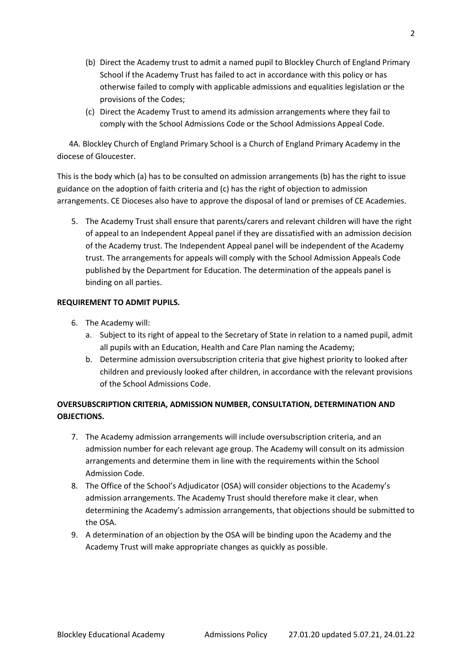- (b) Direct the Academy trust to admit a named pupil to Blockley Church of England Primary School if the Academy Trust has failed to act in accordance with this policy or has otherwise failed to comply with applicable admissions and equalities legislation or the provisions of the Codes;
- (c) Direct the Academy Trust to amend its admission arrangements where they fail to comply with the School Admissions Code or the School Admissions Appeal Code.

 4A. Blockley Church of England Primary School is a Church of England Primary Academy in the diocese of Gloucester.

This is the body which (a) has to be consulted on admission arrangements (b) has the right to issue guidance on the adoption of faith criteria and (c) has the right of objection to admission arrangements. CE Dioceses also have to approve the disposal of land or premises of CE Academies.

5. The Academy Trust shall ensure that parents/carers and relevant children will have the right of appeal to an Independent Appeal panel if they are dissatisfied with an admission decision of the Academy trust. The Independent Appeal panel will be independent of the Academy trust. The arrangements for appeals will comply with the School Admission Appeals Code published by the Department for Education. The determination of the appeals panel is binding on all parties.

# **REQUIREMENT TO ADMIT PUPILS.**

- 6. The Academy will:
	- a. Subject to its right of appeal to the Secretary of State in relation to a named pupil, admit all pupils with an Education, Health and Care Plan naming the Academy;
	- b. Determine admission oversubscription criteria that give highest priority to looked after children and previously looked after children, in accordance with the relevant provisions of the School Admissions Code.

# **OVERSUBSCRIPTION CRITERIA, ADMISSION NUMBER, CONSULTATION, DETERMINATION AND OBJECTIONS.**

- 7. The Academy admission arrangements will include oversubscription criteria, and an admission number for each relevant age group. The Academy will consult on its admission arrangements and determine them in line with the requirements within the School Admission Code.
- 8. The Office of the School's Adjudicator (OSA) will consider objections to the Academy's admission arrangements. The Academy Trust should therefore make it clear, when determining the Academy's admission arrangements, that objections should be submitted to the OSA.
- 9. A determination of an objection by the OSA will be binding upon the Academy and the Academy Trust will make appropriate changes as quickly as possible.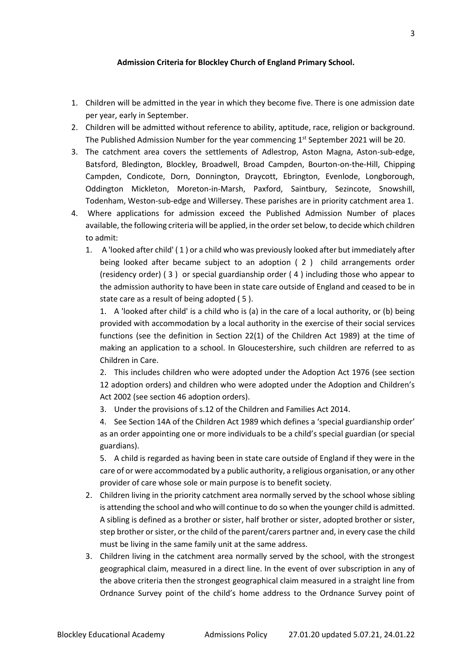#### **Admission Criteria for Blockley Church of England Primary School.**

- 1. Children will be admitted in the year in which they become five. There is one admission date per year, early in September.
- 2. Children will be admitted without reference to ability, aptitude, race, religion or background. The Published Admission Number for the year commencing  $1<sup>st</sup>$  September 2021 will be 20.
- 3. The catchment area covers the settlements of Adlestrop, Aston Magna, Aston-sub-edge, Batsford, Bledington, Blockley, Broadwell, Broad Campden, Bourton-on-the-Hill, Chipping Campden, Condicote, Dorn, Donnington, Draycott, Ebrington, Evenlode, Longborough, Oddington Mickleton, Moreton-in-Marsh, Paxford, Saintbury, Sezincote, Snowshill, Todenham, Weston-sub-edge and Willersey. These parishes are in priority catchment area 1.
- 4. Where applications for admission exceed the Published Admission Number of places available, the following criteria will be applied, in the order set below, to decide which children to admit:
	- 1. A 'looked after child' ( 1 ) or a child who was previously looked after but immediately after being looked after became subject to an adoption ( 2 ) child arrangements order (residency order) ( 3 ) or special guardianship order ( 4 ) including those who appear to the admission authority to have been in state care outside of England and ceased to be in state care as a result of being adopted ( 5 ).

1. A 'looked after child' is a child who is (a) in the care of a local authority, or (b) being provided with accommodation by a local authority in the exercise of their social services functions (see the definition in Section 22(1) of the Children Act 1989) at the time of making an application to a school. In Gloucestershire, such children are referred to as Children in Care.

2. This includes children who were adopted under the Adoption Act 1976 (see section 12 adoption orders) and children who were adopted under the Adoption and Children's Act 2002 (see section 46 adoption orders).

3. Under the provisions of s.12 of the Children and Families Act 2014.

4. See Section 14A of the Children Act 1989 which defines a 'special guardianship order' as an order appointing one or more individuals to be a child's special guardian (or special guardians).

5. A child is regarded as having been in state care outside of England if they were in the care of or were accommodated by a public authority, a religious organisation, or any other provider of care whose sole or main purpose is to benefit society.

- 2. Children living in the priority catchment area normally served by the school whose sibling is attending the school and who will continue to do so when the younger child is admitted. A sibling is defined as a brother or sister, half brother or sister, adopted brother or sister, step brother or sister, or the child of the parent/carers partner and, in every case the child must be living in the same family unit at the same address.
- 3. Children living in the catchment area normally served by the school, with the strongest geographical claim, measured in a direct line. In the event of over subscription in any of the above criteria then the strongest geographical claim measured in a straight line from Ordnance Survey point of the child's home address to the Ordnance Survey point of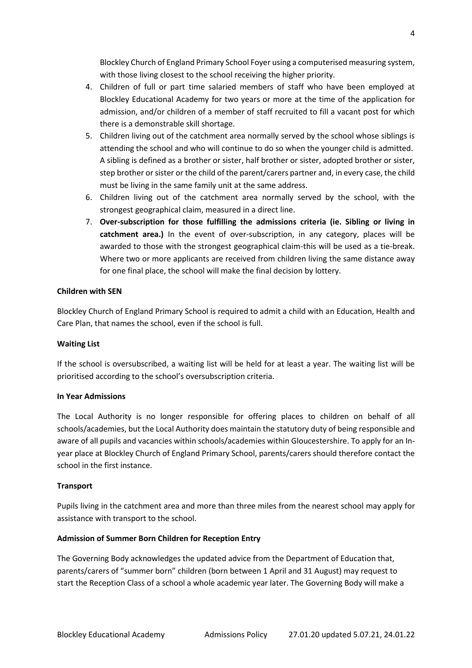Blockley Church of England Primary School Foyer using a computerised measuring system, with those living closest to the school receiving the higher priority.

- 4. Children of full or part time salaried members of staff who have been employed at Blockley Educational Academy for two years or more at the time of the application for admission, and/or children of a member of staff recruited to fill a vacant post for which there is a demonstrable skill shortage.
- 5. Children living out of the catchment area normally served by the school whose siblings is attending the school and who will continue to do so when the younger child is admitted. A sibling is defined as a brother or sister, half brother or sister, adopted brother or sister, step brother or sister or the child of the parent/carers partner and, in every case, the child must be living in the same family unit at the same address.
- 6. Children living out of the catchment area normally served by the school, with the strongest geographical claim, measured in a direct line.
- 7. **Over-subscription for those fulfilling the admissions criteria (ie. Sibling or living in catchment area.)** In the event of over-subscription, in any category, places will be awarded to those with the strongest geographical claim-this will be used as a tie-break. Where two or more applicants are received from children living the same distance away for one final place, the school will make the final decision by lottery.

## **Children with SEN**

Blockley Church of England Primary School is required to admit a child with an Education, Health and Care Plan, that names the school, even if the school is full.

#### **Waiting List**

If the school is oversubscribed, a waiting list will be held for at least a year. The waiting list will be prioritised according to the school's oversubscription criteria.

#### **In Year Admissions**

The Local Authority is no longer responsible for offering places to children on behalf of all schools/academies, but the Local Authority does maintain the statutory duty of being responsible and aware of all pupils and vacancies within schools/academies within Gloucestershire. To apply for an Inyear place at Blockley Church of England Primary School, parents/carers should therefore contact the school in the first instance.

#### **Transport**

Pupils living in the catchment area and more than three miles from the nearest school may apply for assistance with transport to the school.

#### **Admission of Summer Born Children for Reception Entry**

The Governing Body acknowledges the updated advice from the Department of Education that, parents/carers of "summer born" children (born between 1 April and 31 August) may request to start the Reception Class of a school a whole academic year later. The Governing Body will make a